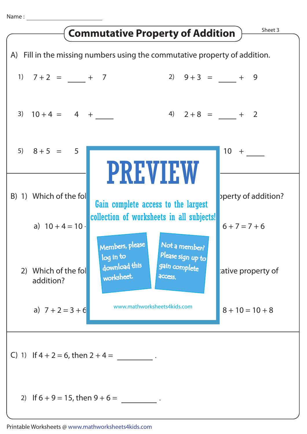